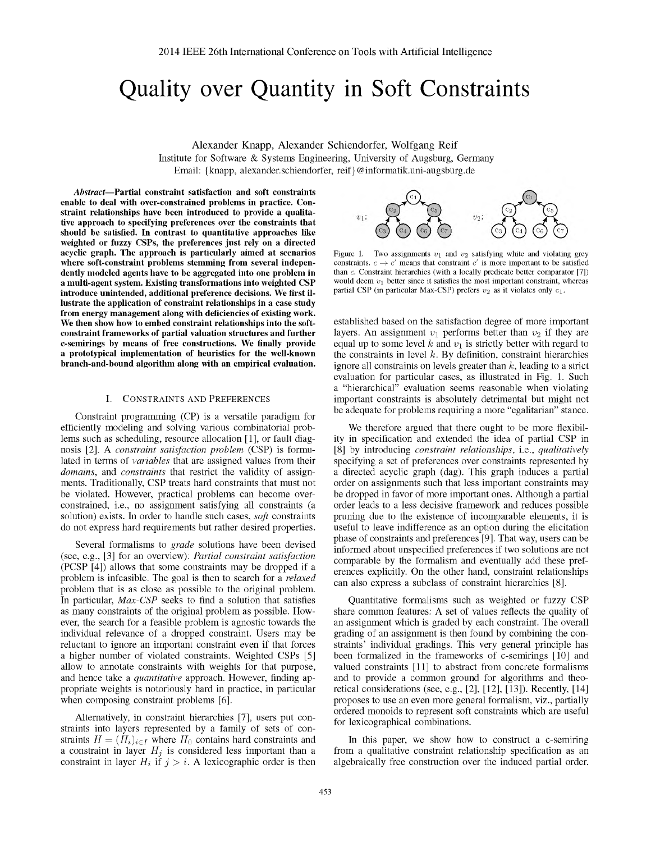# Quality over Quantity in Soft Constraints

Alexander Knapp, Alexander Schiendorfer, Wolfgang Reif Institute for Software & Systems Engineering, University of Augsburg, Germany Email: {knapp, alexander.schiendorfer, reif}@informatik.uni-augsburg.de

*Abstract*—Partial constraint satisfaction and soft constraints enable to deal with over-constrained problems in practice. Constraint relationships have been introduced to provide a qualitative approach to specifying preferences over the constraints that should be satisfied. In contrast to quantitative approaches like weighted or fuzzy CSPs, the preferences just rely on a directed acyclic graph. The approach is particularly aimed at scenarios where soft-constraint problems stemming from several independently modeled agents have to be aggregated into one problem in a multi-agent system. Existing transformations into weighted CSP introduce unintended, additional preference decisions. We first illustrate the application of constraint relationships in a case study from energy management along with deficiencies of existing work. We then show how to embed constraint relationships into the softconstraint frameworks of partial valuation structures and further c-semirings by means of free constructions. We finally provide a prototypical implementation of heuristics for the well-known branch-and-bound algorithm along with an empirical evaluation.

### I. CONSTRAINTS AND PREFERENCES

Constraint programming (CP) is a versatile paradigm for efficiently modeling and solving various combinatorial problems such as scheduling, resource allocation [1], or fault diagnosis [2]. A *constraint satisfaction problem* (CSP) is formulated in terms of *variables* that are assigned values from their *domains*, and *constraints* that restrict the validity of assignments. Traditionally, CSP treats hard constraints that must not be violated. However, practical problems can become overconstrained, i.e., no assignment satisfying all constraints (a solution) exists. In order to handle such cases, *soft* constraints do not express hard requirements but rather desired properties.

Several formalisms to *grade* solutions have been devised (see, e.g., [3] for an overview): *Partial constraint satisfaction* (PCSP [4]) allows that some constraints may be dropped if a problem is infeasible. The goal is then to search for a *relaxed* problem that is as close as possible to the original problem. In particular, *Max-CSP* seeks to find a solution that satisfies as many constraints of the original problem as possible. However, the search for a feasible problem is agnostic towards the individual relevance of a dropped constraint. Users may be reluctant to ignore an important constraint even if that forces a higher number of violated constraints. Weighted CSPs [5] allow to annotate constraints with weights for that purpose, and hence take a *quantitative* approach. However, finding appropriate weights is notoriously hard in practice, in particular when composing constraint problems [6].

Alternatively, in constraint hierarchies [7], users put constraints into layers represented by a family of sets of constraints  $H = (H_i)_{i \in I}$  where  $H_0$  contains hard constraints and a constraint in layer  $H_j$  is considered less important than a constraint in layer  $H_i$  if  $j > i$ . A lexicographic order is then



Figure 1. Two assignments  $v_1$  and  $v_2$  satisfying white and violating grey constraints.  $c \to c'$  means that constraint  $c'$  is more important to be satisfied than c. Constraint hierarchies (with a locally predicate better comparator [7]) would deem  $v_1$  better since it satisfies the most important constraint, whereas partial CSP (in particular Max-CSP) prefers  $v_2$  as it violates only  $c_1$ .

established based on the satisfaction degree of more important layers. An assignment  $v_1$  performs better than  $v_2$  if they are equal up to some level  $k$  and  $v_1$  is strictly better with regard to the constraints in level  $k$ . By definition, constraint hierarchies ignore all constraints on levels greater than  $k$ , leading to a strict evaluation for particular cases, as illustrated in Fig. 1. Such a "hierarchical" evaluation seems reasonable when violating important constraints is absolutely detrimental but might not be adequate for problems requiring a more "egalitarian" stance.

We therefore argued that there ought to be more flexibility in specification and extended the idea of partial CSP in [8] by introducing *constraint relationships*, i.e., *qualitatively* specifying a set of preferences over constraints represented by a directed acyclic graph (dag). This graph induces a partial order on assignments such that less important constraints may be dropped in favor of more important ones. Although a partial order leads to a less decisive framework and reduces possible pruning due to the existence of incomparable elements, it is useful to leave indifference as an option during the elicitation phase of constraints and preferences [9]. That way, users can be informed about unspecified preferences if two solutions are not comparable by the formalism and eventually add these preferences explicitly. On the other hand, constraint relationships can also express a subclass of constraint hierarchies [8].

Quantitative formalisms such as weighted or fuzzy CSP share common features: A set of values reflects the quality of an assignment which is graded by each constraint. The overall grading of an assignment is then found by combining the constraints' individual gradings. This very general principle has been formalized in the frameworks of c-semirings [10] and valued constraints [11] to abstract from concrete formalisms and to provide a common ground for algorithms and theoretical considerations (see, e.g., [2], [12], [13]). Recently, [14] proposes to use an even more general formalism, viz., partially ordered monoids to represent soft constraints which are useful for lexicographical combinations.

In this paper, we show how to construct a c-semiring from a qualitative constraint relationship specification as an algebraically free construction over the induced partial order.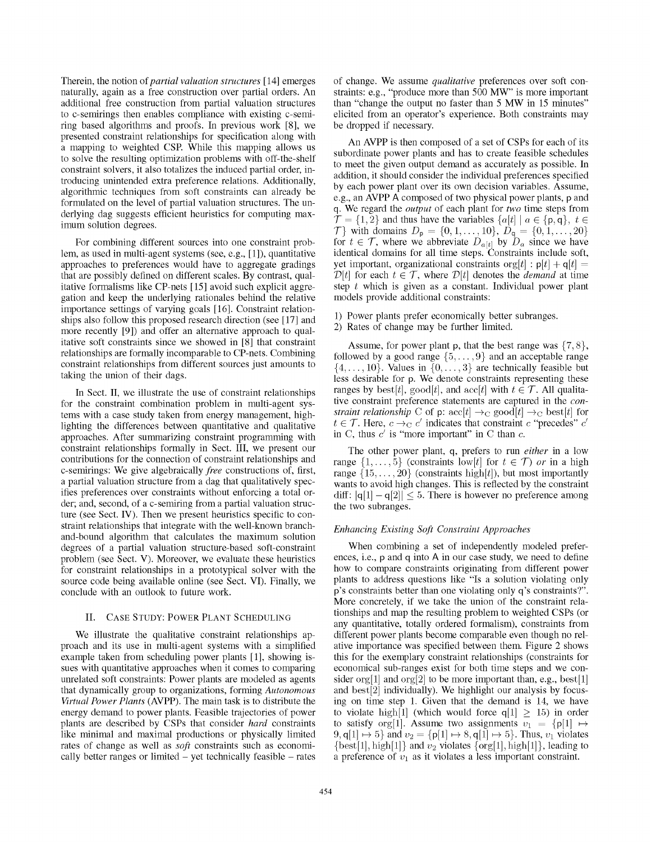Therein, the notion of *partial valuation structures* [14] emerges naturally, again as a free construction over partial orders. An additional free construction from partial valuation structures to c-semirings then enables compliance with existing c-semiring based algorithms and proofs. In previous work [8], we presented constraint relationships for specification along with a mapping to weighted CSP. While this mapping allows us to solve the resulting optimization problems with off-the-shelf constraint solvers, it also totalizes the induced partial order, introducing unintended extra preference relations. Additionally, algorithmic techniques from soft constraints can already be formulated on the level of partial valuation structures. The underlying dag suggests efficient heuristics for computing maximum solution degrees.

For combining different sources into one constraint problem, as used in multi-agent systems (see, e.g., [1]), quantitative approaches to preferences would have to aggregate gradings that are possibly defined on different scales. By contrast, qualitative formalisms like CP-nets [15] avoid such explicit aggregation and keep the underlying rationales behind the relative importance settings of varying goals [16]. Constraint relationships also follow this proposed research direction (see [17] and more recently [9]) and offer an alternative approach to qualitative soft constraints since we showed in [8] that constraint relationships are formally incomparable to CP-nets. Combining constraint relationships from different sources just amounts to taking the union of their dags.

In Sect. II, we illustrate the use of constraint relationships for the constraint combination problem in multi-agent systems with a case study taken from energy management, highlighting the differences between quantitative and qualitative approaches. After summarizing constraint programming with constraint relationships formally in Sect. III, we present our contributions for the connection of constraint relationships and c-semirings: We give algebraically *free* constructions of, first, a partial valuation structure from a dag that qualitatively specifies preferences over constraints without enforcing a total order; and, second, of a c-semiring from a partial valuation structure (see Sect. IV). Then we present heuristics specific to constraint relationships that integrate with the well-known branchand-bound algorithm that calculates the maximum solution degrees of a partial valuation structure-based soft-constraint problem (see Sect. V). Moreover, we evaluate these heuristics for constraint relationships in a prototypical solver with the source code being available online (see Sect. VI). Finally, we conclude with an outlook to future work.

#### II. CASE STUDY: POWER PLANT SCHEDULING

We illustrate the qualitative constraint relationships approach and its use in multi-agent systems with a simplified example taken from scheduling power plants [1], showing issues with quantitative approaches when it comes to comparing unrelated soft constraints: Power plants are modeled as agents that dynamically group to organizations, forming *Autonomous Virtual Power Plants* (AVPP). The main task is to distribute the energy demand to power plants. Feasible trajectories of power plants are described by CSPs that consider *hard* constraints like minimal and maximal productions or physically limited rates of change as well as *soft* constraints such as economically better ranges or limited – yet technically feasible – rates of change. We assume *qualitative* preferences over soft constraints: e.g., "produce more than 500 MW" is more important than "change the output no faster than 5 MW in 15 minutes" elicited from an operator's experience. Both constraints may be dropped if necessary.

An AVPP is then composed of a set of CSPs for each of its subordinate power plants and has to create feasible schedules to meet the given output demand as accurately as possible. In addition, it should consider the individual preferences specified by each power plant over its own decision variables. Assume, e.g., an AVPP A composed of two physical power plants, p and q. We regard the *output* of each plant for *two* time steps from  $\mathcal{T} = \{1, 2\}$  and thus have the variables  $\{a[t] \mid a \in \{\mathsf{p}, \mathsf{q}\}, t \in \mathcal{Y}\}$  $\{\mathcal{T}\}\$  with domains  $D_{\mathsf{p}} = \{0, 1, \ldots, 10\}, D_{\mathsf{q}} = \{0, 1, \ldots, 20\}$ for  $t \in \mathcal{T}$ , where we abbreviate  $D_{a[t]}$  by  $D_a$  since we have identical domains for all time steps. Constraints include soft, yet important, organizational constraints org[t] :  $p[t] + q[t] =$  $\mathcal{D}[t]$  for each  $t \in \mathcal{T}$ , where  $\mathcal{D}[t]$  denotes the *demand* at time step  $t$  which is given as a constant. Individual power plant models provide additional constraints:

- 1) Power plants prefer economically better subranges.
- 2) Rates of change may be further limited.

Assume, for power plant p, that the best range was  $\{7, 8\}$ , followed by a good range  $\{5, \ldots, 9\}$  and an acceptable range  $\{4, \ldots, 10\}$ . Values in  $\{0, \ldots, 3\}$  are technically feasible but less desirable for p. We denote constraints representing these ranges by best[t], good[t], and acc[t] with  $t \in \mathcal{T}$ . All qualitative constraint preference statements are captured in the *constraint relationship* C of p:  $\mathrm{acc}[t] \rightarrow_C \mathrm{good}[t] \rightarrow_C \mathrm{best}[t]$  for  $t \in \mathcal{T}$ . Here,  $c \to_{\mathbf{C}} c'$  indicates that constraint c "precedes"  $c'$ <br>in  $\mathbf{C}$  thus  $c'$  is "more important" in  $\mathbf{C}$  than  $c$ in C, thus  $c'$  is "more important" in C than  $c$ .

The other power plant, q, prefers to run *either* in a low range  $\{1, \ldots, 5\}$  (constraints low[t] for  $t \in \mathcal{T}$ ) *or* in a high range  $\{15, \ldots, 20\}$  (constraints high[t]), but most importantly wants to avoid high changes. This is reflected by the constraint diff:  $|q[1] - q[2]| \leq 5$ . There is however no preference among the two subranges.

#### *Enhancing Existing Soft Constraint Approaches*

When combining a set of independently modeled preferences, i.e., p and q into A in our case study, we need to define how to compare constraints originating from different power plants to address questions like "Is a solution violating only p's constraints better than one violating only q's constraints?". More concretely, if we take the union of the constraint relationships and map the resulting problem to weighted CSPs (or any quantitative, totally ordered formalism), constraints from different power plants become comparable even though no relative importance was specified between them. Figure 2 shows this for the exemplary constraint relationships (constraints for economical sub-ranges exist for both time steps and we consider org[1] and org[2] to be more important than, e.g., best[1] and best[2] individually). We highlight our analysis by focusing on time step 1. Given that the demand is 14, we have to violate high[1] (which would force q[1]  $\geq$  15) in order to satisfy org[1]. Assume two assignments  $v_1 = \{p[1] \mapsto$ 9, q[1]  $\mapsto$  5} and  $v_2 = \{p[1] \mapsto 8, q[1] \mapsto 5\}$ . Thus,  $v_1$  violates {best[1], high[1]} and  $v_2$  violates {org[1], high[1]}, leading to a preference of  $v_1$  as it violates a less important constraint.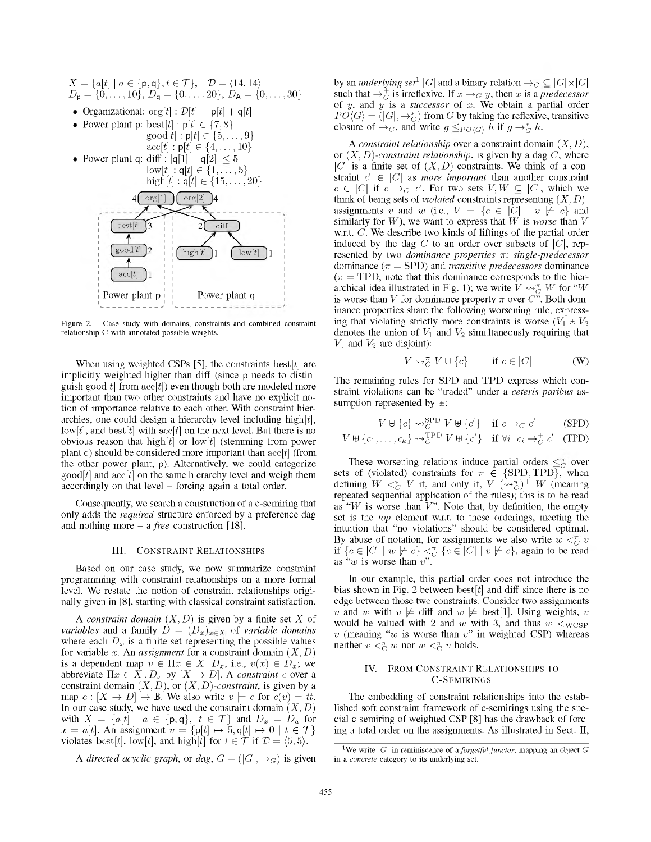

Figure 2. Case study with domains, constraints and combined constraint relationship C with annotated possible weights.

When using weighted CSPs [5], the constraints best[t] are implicitly weighted higher than diff (since p needs to distinguish good[t] from  $\mathrm{acc}[t]$ ] even though both are modeled more important than two other constraints and have no explicit notion of importance relative to each other. With constraint hierarchies, one could design a hierarchy level including high $[t]$ , low[t], and best[t] with acc[t] on the next level. But there is no obvious reason that high[t] or low[t] (stemming from power plant q) should be considered more important than  $\mathrm{acc}[t]$  (from the other power plant, p). Alternatively, we could categorize  $\text{good}[t]$  and  $\text{acc}[t]$  on the same hierarchy level and weigh them accordingly on that level – forcing again a total order.

Consequently, we search a construction of a c-semiring that only adds the *required* structure enforced by a preference dag and nothing more – a *free* construction [18].

## III. CONSTRAINT RELATIONSHIPS

Based on our case study, we now summarize constraint programming with constraint relationships on a more formal level. We restate the notion of constraint relationships originally given in [8], starting with classical constraint satisfaction.

A *constraint domain* (X, D) is given by a finite set X of *variables* and a family  $D = (D_x)_{x \in X}$  of *variable domains* where each  $D_x$  is a finite set representing the possible values for variable x. An *assignment* for a constraint domain  $(X, D)$ is a dependent map  $v \in \Pi x \in X$ .  $D_x$ , i.e.,  $v(x) \in D_x$ ; we abbreviate  $\Pi x \in \hat{X}$ .  $D_x$  by  $[X \to D]$ . A *constraint* c over a constraint domain  $(X, D)$ , or  $(X, D)$ *-constraint*, is given by a map  $c : [X \to D] \to \mathbb{B}$ . We also write  $v \models c$  for  $c(v) = tt$ . In our case study, we have used the constraint domain  $(X, D)$ with  $X = \{a[t] \mid a \in \{\mathsf{p},\mathsf{q}\}, t \in \mathcal{T}\}\$  and  $D_x = D_a$  for  $x = a[t]$ . An assignment  $v = \{p[t] \mapsto 5, q[t] \mapsto 0 \mid t \in \mathcal{T}\}\$ violates best[t], low[t], and high[t] for  $t \in \mathcal{T}$  if  $\mathcal{D} = \langle 5, 5 \rangle$ .

A *directed acyclic graph*, or *dag*,  $G = (|G|, \rightarrow_G)$  is given

by an *underlying set*<sup>1</sup> |G| and a binary relation  $\rightarrow_G \subseteq |G| \times |G|$ such that  $\rightarrow_G^+$  is irreflexive. If  $x \rightarrow_G y$ , then x is a *predecessor* of y, and y is a *successor* of x. We obtain a partial order  $PO\langle G \rangle = (|G|, \rightarrow_G^* )$  from G by taking the reflexive, transitive closure of  $\rightarrow_G$  and write  $a \leq p_Q \langle G \rangle$  h if  $a \rightarrow_a^* h$ closure of  $\rightarrow_G$ , and write  $g \leq_{PO\langle G \rangle} h$  if  $g \rightarrow_G^* h$ .

A *constraint relationship* over a constraint domain (X, D), or  $(X, D)$ -constraint *relationship*, is given by a dag  $C$ , where |C| is a finite set of  $(X, D)$ -constraints. We think of a constraint  $c' \in |C|$  as *more important* than another constraint  $c \in |C|$  if  $c \rightarrow_C c'$ . For two sets  $V, W \subseteq |C|$ , which we think of being sets of *violated* constraints representing  $(X, D)$ assignments v and w (i.e.,  $V = \{c \in |C| \mid v \not\models c\}$  and similarly for W), we want to express that W is *worse* than V w.r.t. C. We describe two kinds of liftings of the partial order induced by the dag C to an order over subsets of  $|C|$ , represented by two *dominance properties* π: *single-predecessor* dominance  $(\pi =$  SPD) and *transitive-predecessors* dominance  $(\pi = TPD)$ , note that this dominance corresponds to the hierarchical idea illustrated in Fig. 1); we write  $\bar{V} \leadsto_{C}^{\pi} W$  for "W is worse than V for dominance property  $\pi$  over C". Both dominance properties share the following worsening rule, expressing that violating strictly more constraints is worse  $(V_1 \oplus V_2)$ denotes the union of  $V_1$  and  $V_2$  simultaneously requiring that  $V_1$  and  $V_2$  are disjoint).

$$
V \rightsquigarrow_C^{\pi} V \oplus \{c\} \qquad \text{if } c \in |C| \tag{W}
$$

The remaining rules for SPD and TPD express which constraint violations can be "traded" under a *ceteris paribus* assumption represented by  $\uplus$  :

$$
V \uplus \{c\} \leadsto_C^{\text{SPD}} V \uplus \{c'\} \quad \text{if } c \to_C c' \tag{SPD}
$$

$$
V \uplus \{c_1, \dots, c_k\} \rightsquigarrow_C \text{TPD} V \uplus \{c'\} \quad \text{if } \forall i \, . \, c_i \rightarrow_C^+ c' \quad \text{(TPD)}
$$

These worsening relations induce partial orders  $\leq_C$  over sets of (violated) constraints for  $\pi \in \{SPD, TPD\}$ , when defining  $W \leq^{\pi}_C V$  if, and only if,  $V(\sim^{\pi}_C)^+ W$  (meaning repeated sequential application of the rules); this is to be read as " $W$  is worse than  $V$ ". Note that, by definition, the empty set is the *top* element w.r.t. to these orderings, meeting the intuition that "no violations" should be considered optimal. By abuse of notation, for assignments we also write  $w < \frac{\pi}{C}$  v if  $\{c \in |C| \mid w \not\models c\} <_{C}^{\pi} \{c \in |C| \mid v \not\models c\}$ , again to be read as " $w$  is worse than  $v$ ".

In our example, this partial order does not introduce the bias shown in Fig. 2 between  $\text{best}[t]$  and diff since there is no edge between those two constraints. Consider two assignments v and w with  $v \not\models \text{diff}$  and  $w \not\models \text{best}[1]$ . Using weights, v would be valued with 2 and w with 3, and thus  $w <_{\text{WCSP}}$  $v$  (meaning " $w$  is worse than  $v$ " in weighted CSP) whereas neither  $v \leq_C^{\pi} w$  nor  $w \leq_C^{\pi} v$  holds.

## IV. FROM CONSTRAINT RELATIONSHIPS TO C-SEMIRINGS

The embedding of constraint relationships into the established soft constraint framework of c-semirings using the special c-semiring of weighted CSP [8] has the drawback of forcing a total order on the assignments. As illustrated in Sect. II,

<sup>&</sup>lt;sup>1</sup>We write  $|G|$  in reminiscence of a *forgetful functor*, mapping an object G in a *concrete* category to its underlying set.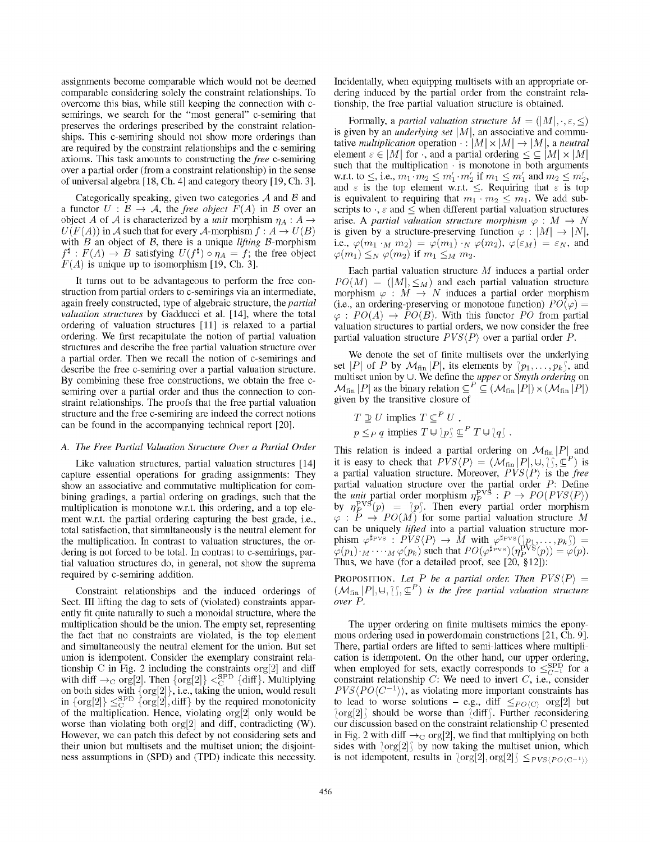assignments become comparable which would not be deemed comparable considering solely the constraint relationships. To overcome this bias, while still keeping the connection with csemirings, we search for the "most general" c-semiring that preserves the orderings prescribed by the constraint relationships. This c-semiring should not show more orderings than are required by the constraint relationships and the c-semiring axioms. This task amounts to constructing the *free* c-semiring over a partial order (from a constraint relationship) in the sense of universal algebra [18, Ch. 4] and category theory [19, Ch. 3].

Categorically speaking, given two categories  $A$  and  $B$  and a functor  $U : \mathcal{B} \to \mathcal{A}$ , the *free object*  $F(A)$  in  $\mathcal{B}$  over an object A of A is characterized by a *unit* morphism  $\eta_A : A \rightarrow$  $U(F(A))$  in A such that for every A-morphism  $f : A \to U(B)$ with B an object of B, there is a unique *lifting* B-morphism  $f^{\sharp}: F(A) \to B$  satisfying  $U(f^{\sharp}) \circ \eta_A = f$ ; the free object  $F(A)$  is unique up to isomorphism [19, Ch. 3].

It turns out to be advantageous to perform the free construction from partial orders to c-semirings via an intermediate, again freely constructed, type of algebraic structure, the *partial valuation structures* by Gadducci et al. [14], where the total ordering of valuation structures [11] is relaxed to a partial ordering. We first recapitulate the notion of partial valuation structures and describe the free partial valuation structure over a partial order. Then we recall the notion of c-semirings and describe the free c-semiring over a partial valuation structure. By combining these free constructions, we obtain the free csemiring over a partial order and thus the connection to constraint relationships. The proofs that the free partial valuation structure and the free c-semiring are indeed the correct notions can be found in the accompanying technical report [20].

#### *A. The Free Partial Valuation Structure Over a Partial Order*

Like valuation structures, partial valuation structures [14] capture essential operations for grading assignments: They show an associative and commutative multiplication for combining gradings, a partial ordering on gradings, such that the multiplication is monotone w.r.t. this ordering, and a top element w.r.t. the partial ordering capturing the best grade, i.e., total satisfaction, that simultaneously is the neutral element for the multiplication. In contrast to valuation structures, the ordering is not forced to be total. In contrast to c-semirings, partial valuation structures do, in general, not show the suprema required by c-semiring addition.

Constraint relationships and the induced orderings of Sect. III lifting the dag to sets of (violated) constraints apparently fit quite naturally to such a monoidal structure, where the multiplication should be the union. The empty set, representing the fact that no constraints are violated, is the top element and simultaneously the neutral element for the union. But set union is idempotent. Consider the exemplary constraint relationship C in Fig. 2 including the constraints  $\text{org}[2]$  and diff with diff  $\rightarrow_C$  org[2]. Then  $\{\text{org}[2] \} \leq^{\text{SPD}}_C \{\text{diff} \}$ . Multiplying on both sides with  $\{\text{org}[2] \}$ , i.e., taking the union, would result in  $\{\text{org}[2]\}\leq^{\text{SPD}}_{\text{C}}\{\text{org}[2], \text{diff}\}\$  by the required monotonicity<br>of the multiplication. Hence, violating org[2] only would be of the multiplication. Hence, violating org[2] only would be worse than violating both org[2] and diff, contradicting (W). However, we can patch this defect by not considering sets and their union but multisets and the multiset union; the disjointness assumptions in (SPD) and (TPD) indicate this necessity. Incidentally, when equipping multisets with an appropriate ordering induced by the partial order from the constraint relationship, the free partial valuation structure is obtained.

Formally, a *partial valuation structure*  $M = (|M|, \cdot, \varepsilon, \leq)$ is given by an *underlying set* |M|, an associative and commutative *multiplication* operation  $\cdot : |M| \times |M| \rightarrow |M|$ , a *neutral* element  $\varepsilon \in |M|$  for  $\cdot$ , and a partial ordering  $\leq \subseteq |M| \times |M|$ such that the multiplication  $\cdot$  is monotone in both arguments w.r.t. to  $\leq$ , i.e.,  $m_1 \cdot m_2 \leq m'_1 \cdot m'_2$  if  $m_1 \leq m'_1$  and  $m_2 \leq m'_2$ ,<br>and  $\varepsilon$  is the top element w.r.t.  $\leq$  **Requiring that**  $\varepsilon$  is top and  $\varepsilon$  is the top element w.r.t.  $\leq$ . Requiring that  $\varepsilon$  is top is equivalent to requiring that  $m_1 \cdot m_2 \leq m_1$ . We add subscripts to  $\cdot$ ,  $\varepsilon$  and  $\leq$  when different partial valuation structures arise. A *partial valuation structure morphism*  $\varphi : M \to N$ is given by a structure-preserving function  $\varphi : |M| \to |N|$ , i.e.,  $\varphi(m_1 \cdot_M m_2) = \varphi(m_1) \cdot_N \varphi(m_2)$ ,  $\varphi(\varepsilon_M) = \varepsilon_N$ , and  $\varphi(m_1) \leq_N \varphi(m_2)$  if  $m_1 \leq_M m_2$ .

Each partial valuation structure M induces a partial order  $PO(M) = (|M|, \leq_M)$  and each partial valuation structure morphism  $\varphi : M \to N$  induces a partial order morphism (i.e., an ordering-preserving or monotone function)  $PO(\varphi) =$  $\varphi : PO(A) \rightarrow PO(B)$ . With this functor PO from partial valuation structures to partial orders, we now consider the free partial valuation structure  $PVS\langle P\rangle$  over a partial order P.

We denote the set of finite multisets over the underlying set |P| of P by  $\mathcal{M}_{fin}$  |P|, its elements by  $\{p_1, \ldots, p_k\}$ , and multiset upion by  $\cup$  We define the *upper* or *Spayth ordering* on multiset union by ∪−. We define the *upper* or *Smyth ordering* on  $\mathcal{M}_{fin}$  |P| as the binary relation  $\subseteq^P \subseteq (\mathcal{M}_{fin} | P|) \times (\mathcal{M}_{fin} | P|)$ given by the transitive closure of

$$
T \supseteq U \text{ implies } T \subseteqq^P U ,
$$
  

$$
p \leq_P q \text{ implies } T \cup \{p\} \subseteqq^P T \cup \{q\} .
$$

This relation is indeed a partial ordering on  $\mathcal{M}_{fin}$  |P| and it is easy to check that  $P\hat{V}S\langle P\rangle = (\mathcal{M}_{fin} |P|, \cup, \langle \cdot, \cdot \rangle, \subseteq^P)$  is a partial valuation structure. Moreover  $PVS\langle P\rangle$  is the free a partial valuation structure. Moreover,  $PVS\langle P \rangle$  is the *free* partial valuation structure over the partial order P: Define the *unit* partial order morphism  $\eta_P^{PVS} : P \to PO(PVS\langle P \rangle)$ <br>by  $n_{\rm F}^{\rm PVS}(n) = \eta_p^{\gamma}$ . Then every partial order morphism by  $\eta_P^{PVS}(p) = \rho_P$ . Then every partial order morphism  $\varphi : P \to PO(M)$  for some partial valuation structure M<br>can be uniquely *lifted* into a partial valuation structure morcan be uniquely *lifted* into a partial valuation structure morphism  $\varphi^{\sharp_{\text{PVS}}} : PVS\langle P \rangle \to \bar{M}$  with  $\varphi^{\sharp_{\text{PVS}}}([\bar{p}_1, \ldots, \bar{p}_k]) =$ <br> $\varphi(m_1) : \bar{M} \cdots \bar{M} \varphi(m_k)$  such that  $PO(\varphi^{\sharp_{\text{PVS}}})(\bar{p}_s^{\text{PVS}}(n)) = \varphi(n_k)$ .  $\varphi(p_1) \cdot_M \cdots \cdot_M \varphi(p_k)$  such that  $PO(\varphi^{\sharp_{\text{PVS}}}(\eta_{\text{P}}^{\text{PVS}}(p)) = \varphi(p)$ .<br>Thus we have (for a detailed proof see [20, 812]). Thus, we have (for a detailed proof, see  $[20, $12]$ ):

PROPOSITION. Let P be a partial order. Then  $PVS\langle P \rangle =$  $(\mathcal{M}_{fin} | P |, \cup, \{\}, \subseteq^P)$  *is the free partial valuation structure*<br> *over P over* P*.*

The upper ordering on finite multisets mimics the eponymous ordering used in powerdomain constructions [21, Ch. 9]. There, partial orders are lifted to semi-lattices where multiplication is idempotent. On the other hand, our upper ordering, when employed for sets, exactly corresponds to  $\leq_{C-1}^{SFD}$  for a constraint relationship C: We need to invert C, i.e., consider  $PVS \langle PO\langle C^{-1} \rangle$ , as violating more important constraints has<br>to lead to worse solutions – e.g. diff  $\leq_{PQ}(C)$  org[2] but to lead to worse solutions – e.g., diff  $\leq_{PO\langle C\rangle}$  org[2] but  $\text{log}[2]$  should be worse than  $\text{diff}$ . Further reconsidering our discussion based on the constraint relationship C presented in Fig. 2 with diff  $\rightarrow_C$  org[2], we find that multiplying on both sides with  $\text{log}[2]$  by now taking the multiset union, which is not idempotent, results in  $\text{log}[2], \text{org}[2] \leq PVS\langle PO\langle C^{-1}\rangle \rangle$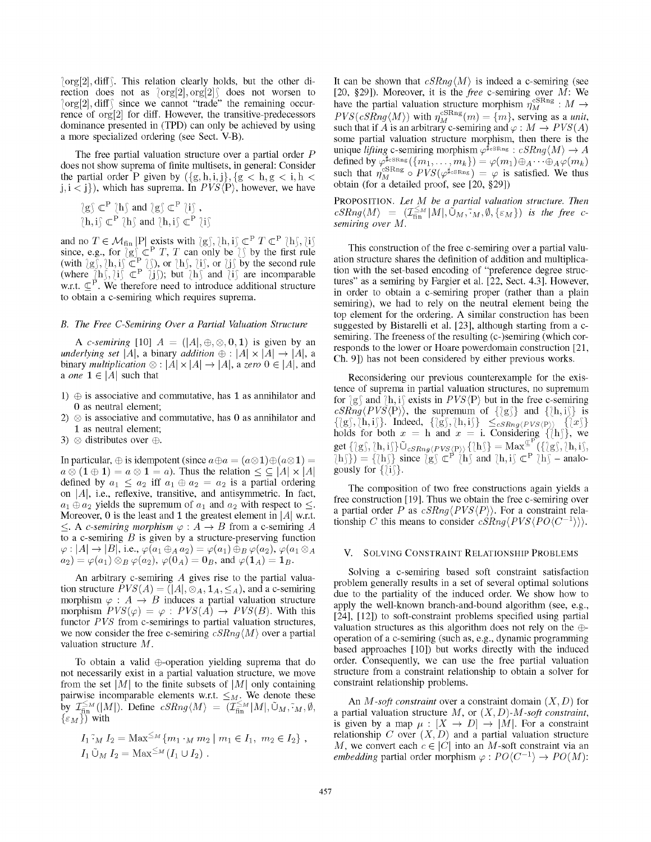$\log[2]$ , diff. This relation clearly holds, but the other direction does not as  $\{ \text{org}[2], \text{org}[2] \}$  does not worsen to  $\lceil \text{org}[2], \text{diff} \rceil$  since we cannot "trade" the remaining occurrence of org[2] for diff. However, the transitive-predecessors dominance presented in (TPD) can only be achieved by using a more specialized ordering (see Sect. V-B).

The free partial valuation structure over a partial order P does not show suprema of finite multisets, in general: Consider the partial order P given by  $({g, h, i, j}, {g < h, g < i, h <$  $j, i < j$ ), which has suprema. In  $PVS\langle P \rangle$ , however, we have

$$
\{g\} \subset \subset^P \{h\} \text{ and } \{g\} \subset^P \{i\},
$$
  

$$
\{h, i\} \subset^P \{h\} \text{ and } \{h, i\} \subset^P \{i\}
$$

and no  $T \in \mathcal{M}_{fin}[\text{Pl}]\)$  exists with  $\{g\}, \{h, i\} \subset^P T \subset^P \{h\}, \{i\}$  since  $e, g \text{ for } \{g\} \subset^P T \subset^P \text{ can only be } \{f, h\}$  the first rule since, e.g., for  $\lg \sqrt{P}$  T, T can only be  $\lg$  by the first rule (with  $\{g\}, \{h, i\} \subset \{P\}$  (f), or  $\{h\}, \{i\}$ , or  $\{j\}$  by the second rule (where  $\lfloor h \rfloor$ ,  $\lfloor i \rfloor \subset P$   $\lfloor i \rfloor$ ); but  $\lfloor h \rfloor$  and  $\lfloor i \rfloor$  are incomparable w.r.t.  $\subseteq^P$ . We therefore need to introduce additional structure to obtain a c-semiring which requires suprema.

## *B. The Free C-Semiring Over a Partial Valuation Structure*

A *c*-semiring [10]  $A = (|A|, \oplus, \otimes, 0, 1)$  is given by an *underlying set*  $|A|$ , a binary *addition*  $\oplus$  :  $|A| \times |A| \rightarrow |A|$ , a binary *multiplication*  $\otimes$  :  $|A| \times |A| \rightarrow |A|$ , a *zero*  $0 \in |A|$ , and a *one*  $1 \in |A|$  such that

- 1) ⊕ is associative and commutative, has **1** as annihilator and **0** as neutral element;
- 2) ⊗ is associative and commutative, has **0** as annihilator and **1** as neutral element;
- 3) ⊗ distributes over ⊕.

In particular, ⊕ is idempotent (since a⊕a = (a⊗**1**)⊕(a⊗**1**) =  $a \otimes (1 \oplus 1) = a \otimes 1 = a$ . Thus the relation  $\leq \subseteq |A| \times |A|$ defined by  $a_1 \le a_2$  iff  $a_1 \oplus a_2 = a_2$  is a partial ordering on  $|A|$ , i.e., reflexive, transitive, and antisymmetric. In fact,  $a_1 \oplus a_2$  yields the supremum of  $a_1$  and  $a_2$  with respect to  $\leq$ . Moreover, **0** is the least and **1** the greatest element in |A| w.r.t.  $≤$ . A *c*-semiring morphism  $φ$  :  $A → B$  from a c-semiring A to a c-semiring  $B$  is given by a structure-preserving function  $\varphi : |A| \to |B|$ , i.e.,  $\varphi(a_1 \oplus_A a_2) = \varphi(a_1) \oplus_B \varphi(a_2)$ ,  $\varphi(a_1 \otimes_A a_2)$  $a_2$ ) =  $\varphi(a_1) \otimes_B \varphi(a_2)$ ,  $\varphi(0_A) = 0_B$ , and  $\varphi(1_A) = 1_B$ .

An arbitrary c-semiring A gives rise to the partial valuation structure  $PVS(A) = (|A|, \otimes_A, \mathbf{1}_A, \leq_A)$ , and a c-semiring morphism  $\varphi : A \to B$  induces a partial valuation structure morphism  $PVS(\varphi) = \varphi$ :  $PVS(\vec{A}) \rightarrow PVS(B)$ . With this functor PVS from c-semirings to partial valuation structures, we now consider the free c-semiring  $cS R nq \langle M \rangle$  over a partial valuation structure M.

To obtain a valid ⊕-operation yielding suprema that do not necessarily exist in a partial valuation structure, we move from the set  $|M|$  to the finite subsets of  $|M|$  only containing pairwise incomparable elements w.r.t.  $\leq_M$ . We denote these by  $\mathcal{I}_{\textrm{fin}}^{\leq M}$  $f_{\text{fin}}^{\leq_M}(|M|)$ . Define  $csRng\langle M\rangle = (\mathcal{I}^{\leq_M}_{\text{fin}})$  $\int_{\text{fin}}^{\leq_M} |M|, \tilde{\cup}_M, \tilde{\cdot}_M, \emptyset,$  $\{\varepsilon_M\}$ ) with

$$
I_1 \tilde{M} I_2 = \text{Max}^{\leq M} \{ m_1 \cdot_M m_2 \mid m_1 \in I_1, m_2 \in I_2 \},
$$
  

$$
I_1 \tilde{U}_M I_2 = \text{Max}^{\leq M} (I_1 \cup I_2) .
$$

It can be shown that  $cSRng\langle M \rangle$  is indeed a c-semiring (see [20, §29]). Moreover, it is the *free* c-semiring over M: We have the partial valuation structure morphism  $\eta_M^{\text{cShng}} : M \to$  $PVS(cSRng\langle M \rangle)$  with  $\eta_{\text{SM}}^{\text{cShng}}(m) = \{m\}$ , serving as a *unit*, such that if A is an arbitrary c-semiring and  $\varphi: M \to PVS(A)$ such that if A is an arbitrary c-semiring and  $\varphi : M \to PVS(A)$ <br>some partial valuation structure morphism then there is the some partial valuation structure morphism, then there is the unique *lifting* c-semiring morphism  $\varphi^{\sharp_{\text{cSRng}}}$ :  $cSRng \langle M \rangle \rightarrow A$ <br>defined by  $\varphi^{\sharp_{\text{cSRng}}}$   $(\{m_1, \ldots, m_k\}) = \varphi(m_1) \oplus \ldots \oplus \varphi(m_k)$ defined by  $\varphi^{\sharp_{\text{cSRng}}} \{\{m_1, \ldots, m_k\}\} = \varphi(m_1) \oplus_A \cdots \oplus_A \varphi(m_k)$ <br>such that  $\eta_{\text{M}}^{\text{cSRng}} \circ PVS(\varphi^{\sharp_{\text{cSRng}}}) = \varphi$  is satisfied. We thus<br>obtain (for a detailed proof see [20, 829]) obtain (for a detailed proof, see [20, §29])

PROPOSITION. *Let* M *be a partial valuation structure. Then*  $cSRng\langle M\rangle = (I_{fin}^{\leq M})$ <br>semiring over M  $\int_{\text{fin}}^{\text{M}} |M|, \tilde{\cup}_M, \tilde{\cdot}_M, \emptyset, \{\varepsilon_M\})$  *is the free csemiring over* M*.*

This construction of the free c-semiring over a partial valuation structure shares the definition of addition and multiplication with the set-based encoding of "preference degree structures" as a semiring by Fargier et al. [22, Sect. 4.3]. However, in order to obtain a c-semiring proper (rather than a plain semiring), we had to rely on the neutral element being the top element for the ordering. A similar construction has been suggested by Bistarelli et al. [23], although starting from a csemiring. The freeness of the resulting (c-)semiring (which corresponds to the lower or Hoare powerdomain construction [21, Ch. 9]) has not been considered by either previous works.

Reconsidering our previous counterexample for the existence of suprema in partial valuation structures, no supremum for  $\{g\}$  and  $\{h, i\}$  exists in  $PVS\{P\}$  but in the free c-semiring  $cSRna(PVS\{P\})$  the supremum of  $\{2\sigma\}$  and  $\{2h, i\}$  is  $cSRng(PVS\text{P})$ , the supremum of  $\{g\}$  and  $\{h,i\}$  is  $\{g \in \{h, j\} \}$  is  $\{g \in \{h, j\} \}$  and  $\{g \in \{h, j\} \}$  $\{ [g], [h,i] \}$ . Indeed,  $\{ [g], [h,i] \} \leq_{cSRng(PVS(P))} \{ [x] \}$ <br>holds for both  $x = h$  and  $x = i$ . Considering  $[1h]$ , we holds for both  $x = h$  and  $x = i$ . Considering  $\{h\}$ , we get  $\{ [g], [h, i] \} \tilde{\cup}_{csRng(PVS(P))} \{ [h] \} = \text{Max}^{\mathbb{C}^+} (\{ [g], [h, i] \},$ <br> $[h, 0] = [2h] \text{ since } [g^{\mathbb{C}} \in \mathbb{P}^2]$  is and  $[2h, i] \in \mathbb{P}^2$  is analogously  $\{h\}\} = \{\hbox{$\{h\}$}\$  since  $\hbox{$\{g\}$} \subset^P \hbox{$\{h\}$}$  and  $\hbox{$\{h,i\}$} \subset^P \hbox{$\{h\}$}$  - analogously for  $\{i\}$ .

The composition of two free constructions again yields a free construction [19]. Thus we obtain the free c-semiring over a partial order P as  $cSRng\langle PVS\langle P \rangle\rangle$ . For a constraint relationship C this means to consider  $cSRng\langle PVS\langle PO\langle C^{-1}\rangle\rangle\rangle$ .

#### V. SOLVING CONSTRAINT RELATIONSHIP PROBLEMS

Solving a c-semiring based soft constraint satisfaction problem generally results in a set of several optimal solutions due to the partiality of the induced order. We show how to apply the well-known branch-and-bound algorithm (see, e.g., [24], [12]) to soft-constraint problems specified using partial valuation structures as this algorithm does not rely on the ⊕ operation of a c-semiring (such as, e.g., dynamic programming based approaches [10]) but works directly with the induced order. Consequently, we can use the free partial valuation structure from a constraint relationship to obtain a solver for constraint relationship problems.

An M-soft constraint over a constraint domain  $(X, D)$  for a partial valuation structure M, or (X, D)*-*M*-soft constraint*, is given by a map  $\mu : [X \to D] \to |M|$ . For a constraint relationship C over  $(X, D)$  and a partial valuation structure M, we convert each  $c \in |C|$  into an M-soft constraint via an *embedding* partial order morphism  $\varphi$  :  $PO\langle C^{-1} \rangle \rightarrow PO(M)$ :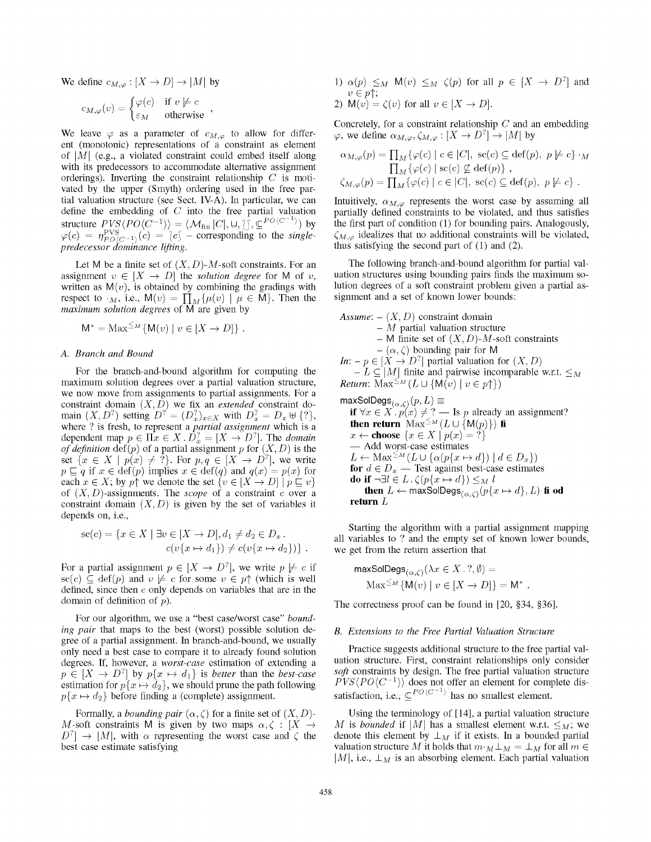We define  $c_{M,\varphi} : [X \to D] \to |M|$  by

$$
c_{M,\varphi}(v) = \begin{cases} \varphi(c) & \text{if } v \not\models c \\ \varepsilon_M & \text{otherwise} \end{cases} ,
$$

We leave  $\varphi$  as a parameter of  $c_{M,\varphi}$  to allow for different (monotonic) representations of a constraint as element of  $|M|$  (e.g., a violated constraint could embed itself along with its predecessors to accommodate alternative assignment orderings). Inverting the constraint relationship  $C$  is motivated by the upper (Smyth) ordering used in the free partial valuation structure (see Sect. IV-A). In particular, we can define the embedding of  $C$  into the free partial valuation structure  $PVS \langle PO \langle C^{-1} \rangle \rangle = (\mathcal{M}_{fin} |C|, \cup, \langle \rangle, \subseteq^{PO \langle C^{-1} \rangle})$  by<br>  $\varphi(c) = n^{PVS}$ ,  $\varphi(c) = \langle c \rangle - \text{corresponding to the single-}$  $\varphi(c) = \eta_{PO(C-1)}^{PVS}$  (c) =  $\partial c$  – corresponding to the *single-*<br>predecessor dominance lifting *predecessor dominance lifting*.

Let M be a finite set of  $(X, D)$ -M-soft constraints. For an assignment  $v \in [X \rightarrow D]$  the *solution degree* for M of v, written as  $M(v)$ , is obtained by combining the gradings with respect to  $\cdot_M$ , i.e.,  $M(v) = \prod_M {\mu(v) \mid \mu \in M}$ . Then the *maximum solution degrees* of M are given by

$$
\mathsf{M}^* = \operatorname{Max}^{\leq M} \{ \mathsf{M}(v) \mid v \in [X \to D] \} .
$$

### *A. Branch and Bound*

For the branch-and-bound algorithm for computing the maximum solution degrees over a partial valuation structure, we now move from assignments to partial assignments. For a constraint domain (X, D) we fix an *extended* constraint domain  $(X, D^{\gamma})$  setting  $D^{\gamma} = (D_x^{\gamma})_{x \in X}$  with  $D_x^{\gamma} = D_x \oplus \{\gamma\},\$ where ? is fresh, to represent a *partial assignment* which is a dependent map  $p \in \Pi x \in X$  .  $D_x^{\gamma} = [X \to D^{\gamma}]$ . The *domain of definition*  $\text{def}(p)$  of a partial assignment p for  $(X, D)$  is the set  $\{x \in X \mid p(x) \neq ?\}$ . For  $p, q \in [X \to D<sup>7</sup>]$ , we write  $p \sqsubseteq q$  if  $x \in \text{def}(p)$  implies  $x \in \text{def}(q)$  and  $q(x) = p(x)$  for each  $x \in X$ ; by  $p \uparrow \text{ we denote the set } \{v \in [X \rightarrow D] \mid p \subseteq v\}$ of (X, D)-assignments. The *scope* of a constraint c over a constraint domain  $(X, D)$  is given by the set of variables it depends on, i.e.,

$$
sc(c) = \{x \in X \mid \exists v \in [X \to D], d_1 \neq d_2 \in D_x.
$$
  

$$
c(v\{x \mapsto d_1\}) \neq c(v\{x \mapsto d_2\})\}.
$$

For a partial assignment  $p \in [X \to D^{\gamma}],$  we write  $p \not\models c$  if  $\mathrm{sc}(c) \subseteq \mathrm{def}(p)$  and  $v \not\models c$  for some  $v \in p \uparrow$  (which is well defined, since then  $c$  only depends on variables that are in the domain of definition of p).

For our algorithm, we use a "best case/worst case" *bounding pair* that maps to the best (worst) possible solution degree of a partial assignment. In branch-and-bound, we usually only need a best case to compare it to already found solution degrees. If, however, a *worst-case* estimation of extending a  $p \in [X \to D^7]$  by  $p\{x \mapsto d_1\}$  is *better* than the *best-case*<br>estimation for  $p\{x \mapsto d_2\}$ , we should prune the path following estimation for  $p\{x \mapsto d_2\}$ , we should prune the path following<br> $p\{x \mapsto d_2\}$  before finding a (complete) assignment  $p\{x \mapsto d_2\}$  before finding a (complete) assignment.

Formally, a *bounding pair*  $(\alpha, \zeta)$  for a finite set of  $(X, D)$ -M-soft constraints M is given by two maps  $\alpha, \zeta : [X \rightarrow$  $D^{\gamma}$   $\rightarrow$   $|M|$ , with  $\alpha$  representing the worst case and  $\zeta$  the best case estimate satisfying

1)  $\alpha(p) \leq_M \mathsf{M}(v) \leq_M \zeta(p)$  for all  $p \in [X \rightarrow D^2]$  and  $v \in p \uparrow$ ; 2)  $M(v) = \zeta(v)$  for all  $v \in [X \to D]$ .

Concretely, for a constraint relationship  $C$  and an embedding  $\varphi$ , we define  $\alpha_{M,\varphi}, \zeta_{M,\varphi} : [X \to D^{\tau}] \to |M|$  by

$$
\alpha_{M,\varphi}(p) = \prod_M \{\varphi(c) \mid c \in |C|, \text{ sc}(c) \subseteq \text{def}(p), \ p \not\models c\} \cdot_M
$$
  

$$
\prod_M \{\varphi(c) \mid \text{sc}(c) \not\subseteq \text{def}(p)\},
$$
  

$$
\zeta_{M,\varphi}(p) = \prod_M \{\varphi(c) \mid c \in |C|, \text{ sc}(c) \subseteq \text{def}(p), \ p \not\models c\}.
$$

Intuitively,  $\alpha_{M,\varphi}$  represents the worst case by assuming all partially defined constraints to be violated, and thus satisfies the first part of condition (1) for bounding pairs. Analogously,  $\zeta_{M,\varphi}$  idealizes that no additional constraints will be violated, thus satisfying the second part of (1) and (2).

The following branch-and-bound algorithm for partial valuation structures using bounding pairs finds the maximum solution degrees of a soft constraint problem given a partial assignment and a set of known lower bounds:

*Assume*:  $(X, D)$  constraint domain  $-$  *M* partial valuation structure – M finite set of  $(X, D)$ -M-soft constraints  $-(\alpha, \zeta)$  bounding pair for M  $In: -p \in [X \to D^{\gamma}]$  partial valuation for  $(X, D)$ –  $L \subseteq |M|$  finite and pairwise incomparable w.r.t.  $\leq_M$  $Return: \text{Max}^{\leq M} (L \cup \{M(v) \mid v \in p\})$ maxSolDegs $(\alpha,\zeta)(p,L) \equiv \text{if }\forall x \in X, p(x) \neq 2$ **if**  $\forall x \in X$  *i p*(*x*)  $\neq$  ? — Is *p* already an assignment? then return  $\,\mathrm{Max}^{\le_M}(L\cup\{\mathsf{M}(p)\})$  fi  $x \leftarrow$  choose  $\{x \in X \mid p(x) = ?\}$ — Add worst-case estimates  $L \leftarrow \text{Max}^{\leq M} (L \cup {\alpha(p\{x \mapsto d\}) \mid d \in D_x})$ for  $d \in D_x$  — Test against best-case estimates do if  $\neg \exists l \in L \ldotp \zeta(p\{x \mapsto d\}) \leq_M l$ **then**  $L \leftarrow$  maxSolDegs $_{(\alpha,\zeta)}(p\{x \mapsto d\}, L)$  **fi** o**d**<br>**urn**  $L$  $L$ 

Starting the algorithm with a partial assignment mapping all variables to ? and the empty set of known lower bounds, we get from the return assertion that

.

$$
\begin{aligned}\n\max\text{SolDegs}_{(\alpha,\zeta)}(\lambda x \in X \cdot ?, \emptyset) &= \\
\text{Max}^{\leq M} \{ \mathsf{M}(v) \mid v \in [X \to D] \} &= \mathsf{M}^*\n\end{aligned}
$$

The correctness proof can be found in [20, §34, §36].

#### *B. Extensions to the Free Partial Valuation Structure*

Practice suggests additional structure to the free partial valuation structure. First, constraint relationships only consider *soft* constraints by design. The free partial valuation structure  $PVS \langle PO\langle C^{-1}\rangle$  does not offer an element for complete dis-<br>estisfaction i.e.  $\mathcal{F}^{PO\langle C^{-1}\rangle}$  has no smallest element. satisfaction, i.e.,  $\mathbb{E}^{PO\langle C^{-1}\rangle}$  has no smallest element.

Using the terminology of [14], a partial valuation structure M is *bounded* if |M| has a smallest element w.r.t.  $\leq_M$ ; we denote this element by  $\perp_M$  if it exists. In a bounded partial valuation structure M it holds that  $m \cdot M \perp_M = \perp_M$  for all  $m \in$ |M|, i.e.,  $\perp_M$  is an absorbing element. Each partial valuation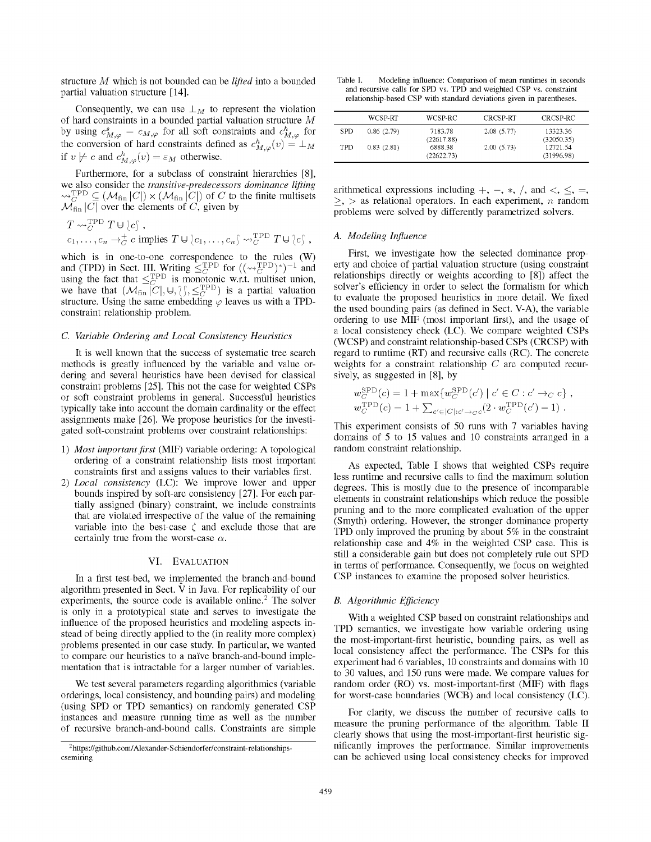structure M which is not bounded can be *lifted* into a bounded partial valuation structure [14].

Consequently, we can use  $\perp_M$  to represent the violation of hard constraints in a bounded partial valuation structure M by using  $c_{M,\varphi}^s = c_{M,\varphi}$  for all soft constraints and  $c_{M,\varphi}^h$  for the conversion of hard constraints defined as  $c_{M,\varphi}^h(v) = \perp_M$ if  $v \not\models c$  and  $c^h_{M,\varphi}(v) = \varepsilon_M$  otherwise.

Furthermore, for a subclass of constraint hierarchies [8], we also consider the *transitive-predecessors dominance lifting*  $\mathcal{L}^{\text{TPD}} \subseteq (\mathcal{M}_{\text{fin}}|C|) \times (\mathcal{M}_{\text{fin}}|C|)$  of C to the finite multisets<br>  $\mathcal{M}_{\text{c}}$   $|C|$  over the elements of C given by  $\mathcal{M}_{fin}|C|$  over the elements of C, given by

$$
T \rightsquigarrow_C^{\text{TPD}} T \cup \{c\},
$$
  

$$
c_1, \ldots, c_n \rightarrow_C^+ c \text{ implies } T \cup \{c_1, \ldots, c_n\} \rightsquigarrow_C^{\text{TPD}} T \cup \{c\},
$$

which is in one-to-one correspondence to the rules (W) and (TPD) in Sect. III. Writing  $\leq_C T^{\text{PD}}$  for  $((\rightsquigarrow_C T^{\text{PD}})^*)^{-1}$  and using the fact that  $\leq^{\text{TPD}}_{C_{\text{max}}}$  is monotonic w.r.t. multiset union, we have that  $(\mathcal{M}_{fin} | C |, \cup, \{\}, \leq_C^{\text{TPD}})$  is a partial valuation<br>structure. Using the same embedding  $\alpha$  leaves us with a TPD. structure. Using the same embedding  $\varphi$  leaves us with a TPDconstraint relationship problem.

#### *C. Variable Ordering and Local Consistency Heuristics*

It is well known that the success of systematic tree search methods is greatly influenced by the variable and value ordering and several heuristics have been devised for classical constraint problems [25]. This not the case for weighted CSPs or soft constraint problems in general. Successful heuristics typically take into account the domain cardinality or the effect assignments make [26]. We propose heuristics for the investigated soft-constraint problems over constraint relationships:

- 1) *Most important first* (MIF) variable ordering: A topological ordering of a constraint relationship lists most important constraints first and assigns values to their variables first.
- 2) *Local consistency* (LC): We improve lower and upper bounds inspired by soft-arc consistency [27]. For each partially assigned (binary) constraint, we include constraints that are violated irrespective of the value of the remaining variable into the best-case  $\zeta$  and exclude those that are certainly true from the worst-case  $\alpha$ .

## VI. EVALUATION

In a first test-bed, we implemented the branch-and-bound algorithm presented in Sect.  $\bar{V}$  in Java. For replicability of our experiments, the source code is available online. <sup>2</sup> The solver is only in a prototypical state and serves to investigate the influence of the proposed heuristics and modeling aspects instead of being directly applied to the (in reality more complex) problems presented in our case study. In particular, we wanted to compare our heuristics to a naïve branch-and-bound implementation that is intractable for a larger number of variables.

We test several parameters regarding algorithmics (variable orderings, local consistency, and bounding pairs) and modeling (using SPD or TPD semantics) on randomly generated CSP instances and measure running time as well as the number of recursive branch-and-bound calls. Constraints are simple

|            | WCSP-RT    | WCSP-RC               | <b>CRCSP-RT</b> | CRCSP-RC               |
|------------|------------|-----------------------|-----------------|------------------------|
| <b>SPD</b> | 0.86(2.79) | 7183.78<br>(22617.88) | 2.08(5.77)      | 13323.36<br>(32050.35) |
| <b>TPD</b> | 0.83(2.81) | 6888.38<br>(22622.73) | 2.00(5.73)      | 12721.54<br>(31996.98) |

arithmetical expressions including  $+$ ,  $-$ ,  $*$ ,  $/$ , and  $<$ ,  $\leq$ ,  $=$ ,  $\geq$ ,  $>$  as relational operators. In each experiment, *n* random problems were solved by differently parametrized solvers.

## *A. Modeling Influence*

First, we investigate how the selected dominance property and choice of partial valuation structure (using constraint relationships directly or weights according to [8]) affect the solver's efficiency in order to select the formalism for which to evaluate the proposed heuristics in more detail. We fixed the used bounding pairs (as defined in Sect. V-A), the variable ordering to use MIF (most important first), and the usage of a local consistency check (LC). We compare weighted CSPs (WCSP) and constraint relationship-based CSPs (CRCSP) with regard to runtime (RT) and recursive calls (RC). The concrete weights for a constraint relationship  $C$  are computed recursively, as suggested in [8], by

$$
w_C^{\rm SPD}(c) = 1 + \max\{w_C^{\rm SPD}(c') \mid c' \in C : c' \to_{C} c\},
$$
  

$$
w_C^{\rm TPD}(c) = 1 + \sum_{c' \in |C| : c' \to_{C} c} (2 \cdot w_C^{\rm TPD}(c') - 1).
$$

This experiment consists of 50 runs with 7 variables having domains of 5 to 15 values and 10 constraints arranged in a random constraint relationship.

As expected, Table I shows that weighted CSPs require less runtime and recursive calls to find the maximum solution degrees. This is mostly due to the presence of incomparable elements in constraint relationships which reduce the possible pruning and to the more complicated evaluation of the upper (Smyth) ordering. However, the stronger dominance property TPD only improved the pruning by about 5% in the constraint relationship case and 4% in the weighted CSP case. This is still a considerable gain but does not completely rule out SPD in terms of performance. Consequently, we focus on weighted CSP instances to examine the proposed solver heuristics.

#### *B. Algorithmic Efficiency*

With a weighted CSP based on constraint relationships and TPD semantics, we investigate how variable ordering using the most-important-first heuristic, bounding pairs, as well as local consistency affect the performance. The CSPs for this experiment had 6 variables, 10 constraints and domains with 10 to 30 values, and 150 runs were made. We compare values for random order (RO) vs. most-important-first (MIF) with flags for worst-case boundaries (WCB) and local consistency (LC).

For clarity, we discuss the number of recursive calls to measure the pruning performance of the algorithm. Table II clearly shows that using the most-important-first heuristic significantly improves the performance. Similar improvements can be achieved using local consistency checks for improved

<sup>2</sup>https://github.com/Alexander-Schiendorfer/constraint-relationshipscsemiring